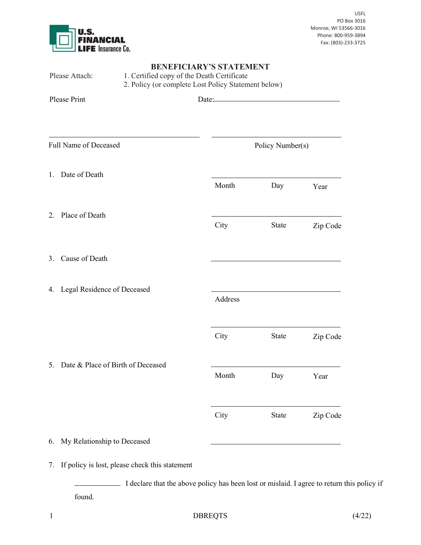

|    | Please Attach:                                 | <b>BENEFICIARY'S STATEMENT</b><br>1. Certified copy of the Death Certificate<br>2. Policy (or complete Lost Policy Statement below) |                  |          |  |  |
|----|------------------------------------------------|-------------------------------------------------------------------------------------------------------------------------------------|------------------|----------|--|--|
|    | <b>Please Print</b>                            | Date:                                                                                                                               |                  |          |  |  |
|    | Full Name of Deceased                          |                                                                                                                                     | Policy Number(s) |          |  |  |
| 1. | Date of Death                                  | Month                                                                                                                               | Day              | Year     |  |  |
|    | 2. Place of Death                              | City                                                                                                                                | State            | Zip Code |  |  |
| 3. | Cause of Death                                 |                                                                                                                                     |                  |          |  |  |
| 4. | Legal Residence of Deceased                    | Address                                                                                                                             |                  |          |  |  |
|    |                                                | City                                                                                                                                | State            | Zip Code |  |  |
|    | 5. Date & Place of Birth of Deceased           | Month                                                                                                                               | Day              | Year     |  |  |
|    |                                                | City                                                                                                                                | State            | Zip Code |  |  |
| 6. | My Relationship to Deceased                    |                                                                                                                                     |                  |          |  |  |
| 7. | If policy is lost, please check this statement |                                                                                                                                     |                  |          |  |  |

I declare that the above policy has been lost or mislaid. I agree to return this policy if found.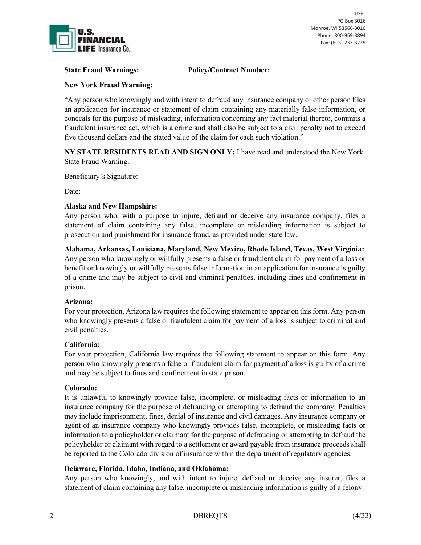

State Fraud Warnings: Policy/Contract Number:  $\qquad \qquad$ 

New York Fraud Warning:

"Any person who knowingly and with intent to defraud any insurance company or other person files an application for insurance or statement of claim containing any materially false information, or conceals for the purpose of misleading, information concerning any fact material thereto, commits a fraudulent insurance act, which is a crime and shall also be subject to a civil penalty not to exceed five thousand dollars and the stated value of the claim for each such violation."

NY STATE RESIDENTS READ AND SIGN ONLY: I have read and understood the New York State Fraud Warning.

Beneficiary's Signature:

Date:

## Alaska and New Hampshire:

Any person who, with a purpose to injure, defraud or deceive any insurance company, files a statement of claim containing any false, incomplete or misleading information is subject to prosecution and punishment for insurance fraud, as provided under state law.

Alabama, Arkansas, Louisiana, Maryland, New Mexico, Rhode Island, Texas, West Virginia: Any person who knowingly or willfully presents a false or fraudulent claim for payment of a loss or benefit or knowingly or willfully presents false information in an application for insurance is guilty of a crime and may be subject to civil and criminal penalties, including fines and confinement in prison.

## Arizona:

For your protection, Arizona law requires the following statement to appear on this form. Any person who knowingly presents a false or fraudulent claim for payment of a loss is subject to criminal and civil penalties.

## California:

For your protection, California law requires the following statement to appear on this form. Any person who knowingly presents a false or fraudulent claim for payment of a loss is guilty of a crime and may be subject to fines and confinement in state prison.

## Colorado:

It is unlawful to knowingly provide false, incomplete, or misleading facts or information to an insurance company for the purpose of defrauding or attempting to defraud the company. Penalties may include imprisonment, fines, denial of insurance and civil damages. Any insurance company or agent of an insurance company who knowingly provides false, incomplete, or misleading facts or information to a policyholder or claimant for the purpose of defrauding or attempting to defraud the policyholder or claimant with regard to a settlement or award payable from insurance proceeds shall be reported to the Colorado division of insurance within the department of regulatory agencies.

## Delaware, Florida, Idaho, Indiana, and Oklahoma:

Any person who knowingly, and with intent to injure, defraud or deceive any insurer, files a statement of claim containing any false, incomplete or misleading information is guilty of a felony.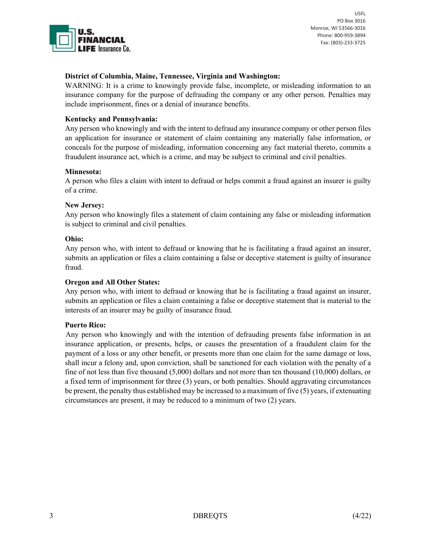

# District of Columbia, Maine, Tennessee, Virginia and Washington:

WARNING: It is a crime to knowingly provide false, incomplete, or misleading information to an insurance company for the purpose of defrauding the company or any other person. Penalties may include imprisonment, fines or a denial of insurance benefits.

# Kentucky and Pennsylvania:

Any person who knowingly and with the intent to defraud any insurance company or other person files an application for insurance or statement of claim containing any materially false information, or conceals for the purpose of misleading, information concerning any fact material thereto, commits a fraudulent insurance act, which is a crime, and may be subject to criminal and civil penalties.

#### Minnesota:

A person who files a claim with intent to defraud or helps commit a fraud against an insurer is guilty of a crime.

#### New Jersey:

Any person who knowingly files a statement of claim containing any false or misleading information is subject to criminal and civil penalties.

#### Ohio:

Any person who, with intent to defraud or knowing that he is facilitating a fraud against an insurer, submits an application or files a claim containing a false or deceptive statement is guilty of insurance fraud.

## Oregon and All Other States:

Any person who, with intent to defraud or knowing that he is facilitating a fraud against an insurer, submits an application or files a claim containing a false or deceptive statement that is material to the interests of an insurer may be guilty of insurance fraud.

## Puerto Rico:

 Any person who knowingly and with the intention of defrauding presents false information in an insurance application, or presents, helps, or causes the presentation of a fraudulent claim for the payment of a loss or any other benefit, or presents more than one claim for the same damage or loss, shall incur a felony and, upon conviction, shall be sanctioned for each violation with the penalty of a fine of not less than five thousand (5,000) dollars and not more than ten thousand (10,000) dollars, or a fixed term of imprisonment for three (3) years, or both penalties. Should aggravating circumstances be present, the penalty thus established may be increased to a maximum of five (5) years, if extenuating circumstances are present, it may be reduced to a minimum of two (2) years.